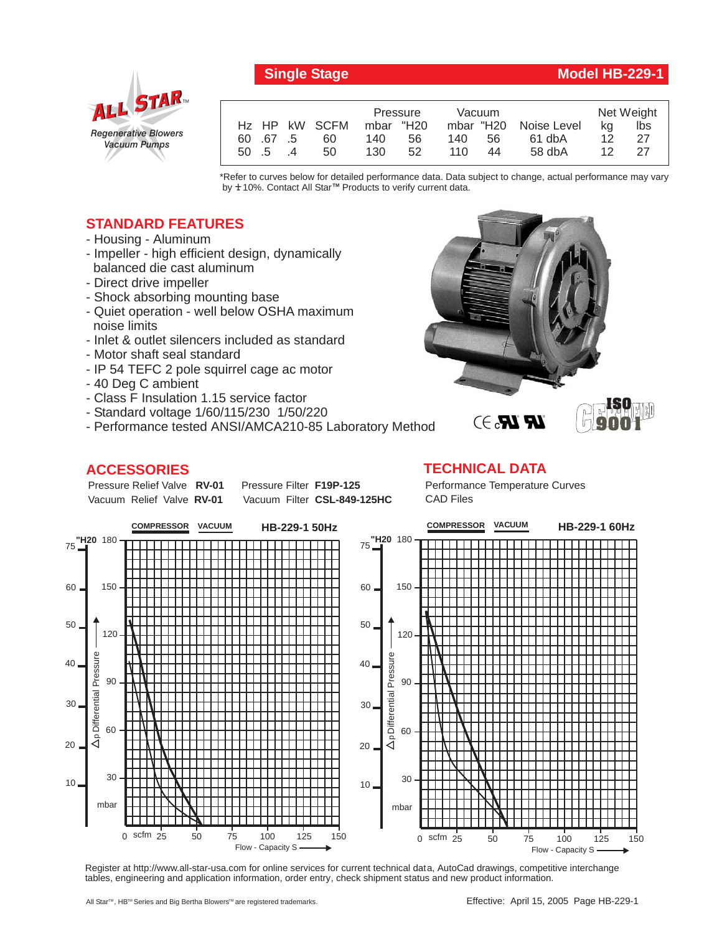

# *Regenerative Blowers Vacuum Pumps* ALL STAR

|                           |    | Pressure  |    | Vacuum     |    |                       | Net Weight |     |
|---------------------------|----|-----------|----|------------|----|-----------------------|------------|-----|
| H <sub>z</sub> HP kW SCFM |    | mbar "H20 |    |            |    | mbar "H20 Noise Level | ka         | lbs |
| 60 67 5                   | 60 | 140       | 56 | 140.       | 56 | 61 dbA                | 12         | -27 |
| $50 \quad 5 \quad 4$      | 50 | 130       | 52 | $110^{-1}$ | 44 | $58$ db $A$           | 12.        | -27 |

\*Refer to curves below for detailed performance data. Data subject to change, actual performance may vary by **+** 10%. Contact All Star™ Products to verify current data.

### **STANDARD FEATURES**

- Housing Aluminum
- Impeller high efficient design, dynamically balanced die cast aluminum
- Direct drive impeller
- Shock absorbing mounting base
- Quiet operation well below OSHA maximum noise limits
- Inlet & outlet silencers included as standard
- Motor shaft seal standard
- IP 54 TEFC 2 pole squirrel cage ac motor
- 40 Deg C ambient
- Class F Insulation 1.15 service factor
- Standard voltage 1/60/115/230 1/50/220
- Performance tested ANSI/AMCA210-85 Laboratory Method

#### **ACCESSORIES**

Pressure Relief Valve RV-01 Vacuum Relief Valve RV-01

Vacuum Filter CSL-849-125HC

**Pressure Filter F19P-125** 

**TECHNICAL DATA** Performance Temperature Curves



Register at http://www.all-star-usa.com for online services for current technical data, AutoCad drawings, competitive interchange tables, engineering and application information, order entry, check shipment status and new product information.



# CAD Files

## **Single Stage Model HB-229-1**

**ISO 9001**